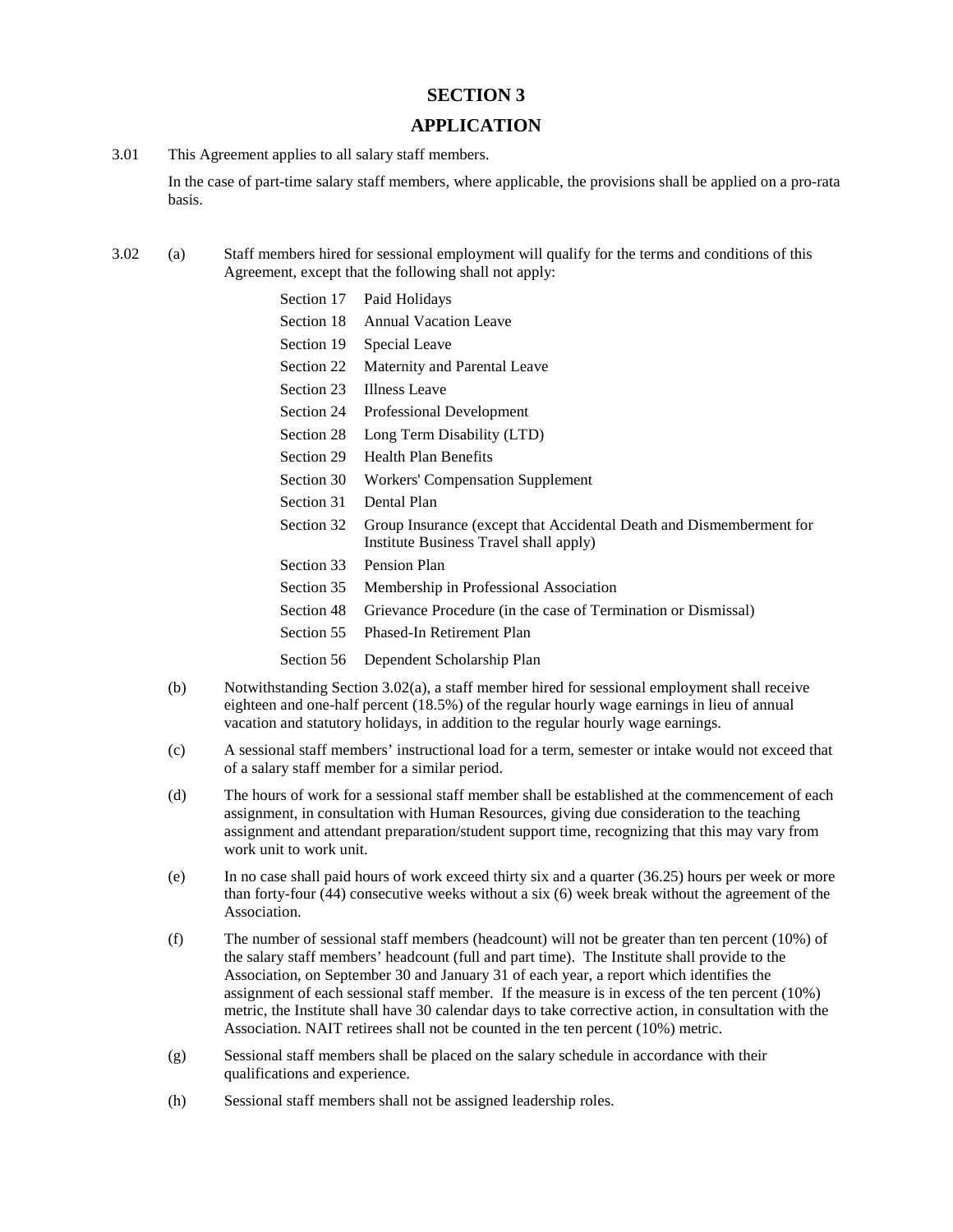## **SECTION 3**

## **APPLICATION**

3.01 This Agreement applies to all salary staff members.

In the case of part-time salary staff members, where applicable, the provisions shall be applied on a pro-rata basis.

- 3.02 (a) Staff members hired for sessional employment will qualify for the terms and conditions of this Agreement, except that the following shall not apply:
	- Section 17 Paid Holidays Section 18 Annual Vacation Leave
	- Section 19 Special Leave
	- Section 22 Maternity and Parental Leave
	- Section 23 Illness Leave
	- Section 24 Professional Development
	- Section 28 Long Term Disability (LTD)
	- Section 29 Health Plan Benefits
	- Section 30 Workers' Compensation Supplement
	- Section 31 Dental Plan
	- Section 32 Group Insurance (except that Accidental Death and Dismemberment for Institute Business Travel shall apply)
	- Section 33 Pension Plan
	- Section 35 Membership in Professional Association
	- Section 48 Grievance Procedure (in the case of Termination or Dismissal)
	- Section 55 Phased-In Retirement Plan
	- Section 56 Dependent Scholarship Plan
	- (b) Notwithstanding Section 3.02(a), a staff member hired for sessional employment shall receive eighteen and one-half percent (18.5%) of the regular hourly wage earnings in lieu of annual vacation and statutory holidays, in addition to the regular hourly wage earnings.
	- (c) A sessional staff members' instructional load for a term, semester or intake would not exceed that of a salary staff member for a similar period.
	- (d) The hours of work for a sessional staff member shall be established at the commencement of each assignment, in consultation with Human Resources, giving due consideration to the teaching assignment and attendant preparation/student support time, recognizing that this may vary from work unit to work unit.
	- (e) In no case shall paid hours of work exceed thirty six and a quarter (36.25) hours per week or more than forty-four (44) consecutive weeks without a six (6) week break without the agreement of the Association.
	- (f) The number of sessional staff members (headcount) will not be greater than ten percent (10%) of the salary staff members' headcount (full and part time). The Institute shall provide to the Association, on September 30 and January 31 of each year, a report which identifies the assignment of each sessional staff member. If the measure is in excess of the ten percent (10%) metric, the Institute shall have 30 calendar days to take corrective action, in consultation with the Association. NAIT retirees shall not be counted in the ten percent (10%) metric.
	- (g) Sessional staff members shall be placed on the salary schedule in accordance with their qualifications and experience.
	- (h) Sessional staff members shall not be assigned leadership roles.